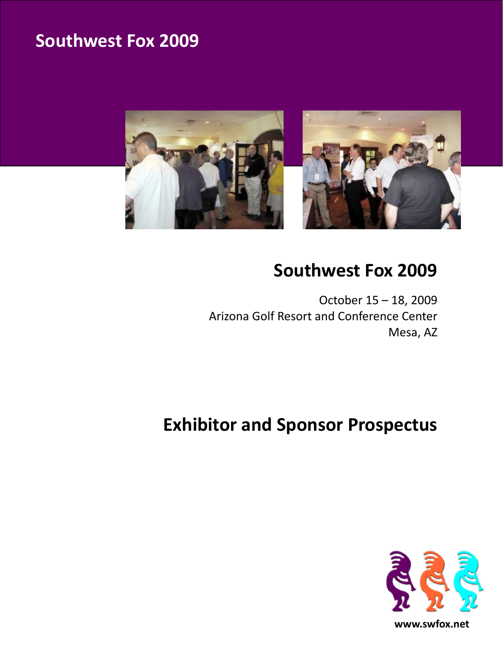

# **Southwest Fox 2009**

October 15 – 18, 2009 Arizona Golf Resort and Conference Center Mesa, AZ

# **Exhibitor and Sponsor Prospectus**

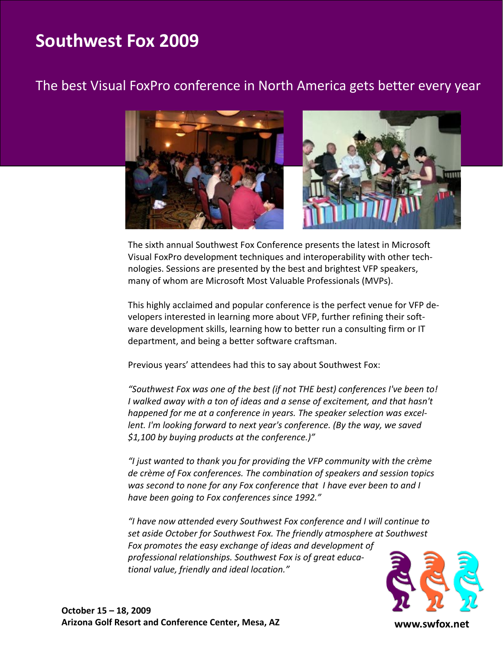### The best Visual FoxPro conference in North America gets better every year



The sixth annual Southwest Fox Conference presents the latest in Microsoft Visual FoxPro development techniques and interoperability with other technologies. Sessions are presented by the best and brightest VFP speakers, many of whom are Microsoft Most Valuable Professionals (MVPs).

This highly acclaimed and popular conference is the perfect venue for VFP developers interested in learning more about VFP, further refining their software development skills, learning how to better run a consulting firm or IT department, and being a better software craftsman.

Previous years' attendees had this to say about Southwest Fox:

*"Southwest Fox was one of the best (if not THE best) conferences I've been to! I walked away with a ton of ideas and a sense of excitement, and that hasn't happened for me at a conference in years. The speaker selection was excellent. I'm looking forward to next year's conference. (By the way, we saved \$1,100 by buying products at the conference.)"*

*"I just wanted to thank you for providing the VFP community with the crème de crème of Fox conferences. The combination of speakers and session topics was second to none for any Fox conference that I have ever been to and I have been going to Fox conferences since 1992."*

*"I have now attended every Southwest Fox conference and I will continue to set aside October for Southwest Fox. The friendly atmosphere at Southwest Fox promotes the easy exchange of ideas and development of professional relationships. Southwest Fox is of great educational value, friendly and ideal location."*



**www.swfox.net**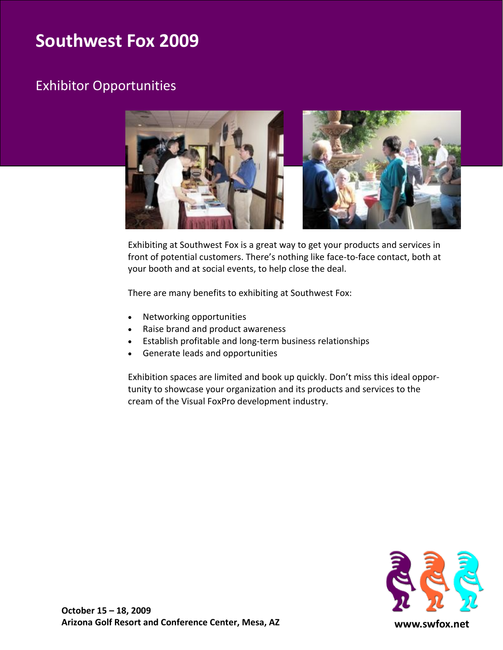### Exhibitor Opportunities



Exhibiting at Southwest Fox is a great way to get your products and services in front of potential customers. There's nothing like face-to-face contact, both at your booth and at social events, to help close the deal.

There are many benefits to exhibiting at Southwest Fox:

- Networking opportunities
- Raise brand and product awareness
- Establish profitable and long-term business relationships
- Generate leads and opportunities

Exhibition spaces are limited and book up quickly. Don't miss this ideal opportunity to showcase your organization and its products and services to the cream of the Visual FoxPro development industry.

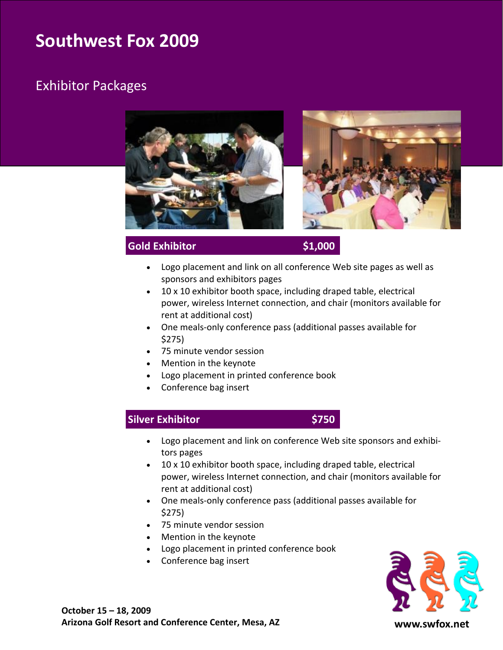### Exhibitor Packages



### **Gold Exhibitor \$1,000**

- Logo placement and link on all conference Web site pages as well as sponsors and exhibitors pages
- 10 x 10 exhibitor booth space, including draped table, electrical power, wireless Internet connection, and chair (monitors available for rent at additional cost)
- One meals-only conference pass (additional passes available for \$275)
- 75 minute vendor session
- Mention in the keynote
- Logo placement in printed conference book
- Conference bag insert

### **Silver Exhibitor \$750**



- Logo placement and link on conference Web site sponsors and exhibitors pages
- 10 x 10 exhibitor booth space, including draped table, electrical power, wireless Internet connection, and chair (monitors available for rent at additional cost)
- One meals-only conference pass (additional passes available for \$275)
- 75 minute vendor session
- Mention in the keynote
- Logo placement in printed conference book
- Conference bag insert



**www.swfox.net**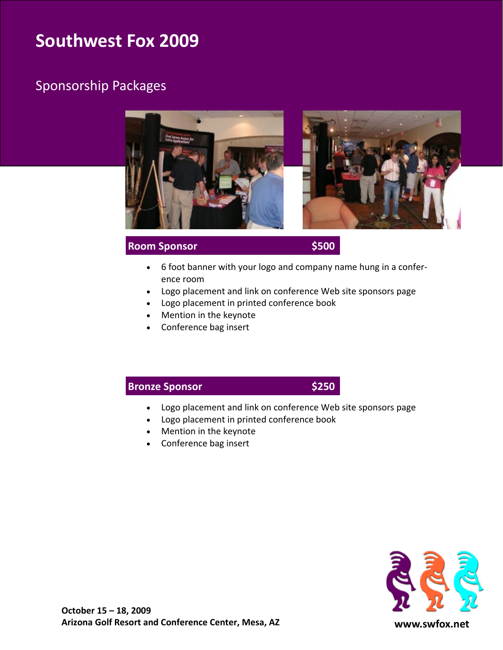### Sponsorship Packages



#### **Room Sponsor \$500**

- 6 foot banner with your logo and company name hung in a conference room
- Logo placement and link on conference Web site sponsors page
- Logo placement in printed conference book
- Mention in the keynote
- Conference bag insert

### **Bronze Sponsor \$250**

- Logo placement and link on conference Web site sponsors page
- Logo placement in printed conference book
- Mention in the keynote
- Conference bag insert